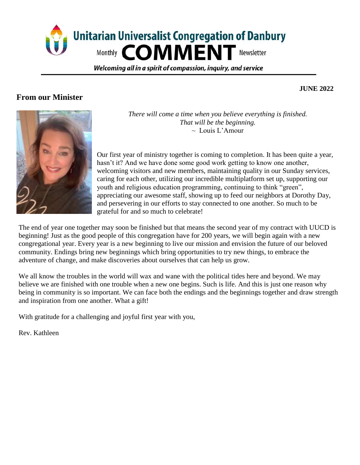

Welcoming all in a spirit of compassion, inguiry, and service

## **From our Minister**

 **JUNE 2022**



*There will come a time when you believe everything is finished. That will be the beginning.*  $\sim$  Louis L'Amour

Our first year of ministry together is coming to completion. It has been quite a year, hasn't it? And we have done some good work getting to know one another, welcoming visitors and new members, maintaining quality in our Sunday services, caring for each other, utilizing our incredible multiplatform set up, supporting our youth and religious education programming, continuing to think "green", appreciating our awesome staff, showing up to feed our neighbors at Dorothy Day, and persevering in our efforts to stay connected to one another. So much to be grateful for and so much to celebrate!

The end of year one together may soon be finished but that means the second year of my contract with UUCD is beginning! Just as the good people of this congregation have for 200 years, we will begin again with a new congregational year. Every year is a new beginning to live our mission and envision the future of our beloved community. Endings bring new beginnings which bring opportunities to try new things, to embrace the adventure of change, and make discoveries about ourselves that can help us grow.

We all know the troubles in the world will wax and wane with the political tides here and beyond. We may believe we are finished with one trouble when a new one begins. Such is life. And this is just one reason why being in community is so important. We can face both the endings and the beginnings together and draw strength and inspiration from one another. What a gift!

With gratitude for a challenging and joyful first year with you,

Rev. Kathleen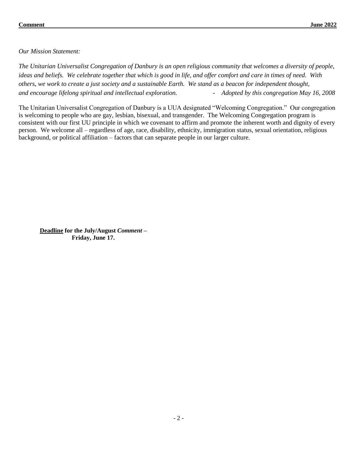*Our Mission Statement:*

*The Unitarian Universalist Congregation of Danbury is an open religious community that welcomes a diversity of people, ideas and beliefs. We celebrate together that which is good in life, and offer comfort and care in times of need. With others, we work to create a just society and a sustainable Earth. We stand as a beacon for independent thought, and encourage lifelong spiritual and intellectual exploration. - Adopted by this congregation May 16, 2008* 

The Unitarian Universalist Congregation of Danbury is a UUA designated "Welcoming Congregation." Our congregation is welcoming to people who are gay, lesbian, bisexual, and transgender. The Welcoming Congregation program is consistent with our first UU principle in which we covenant to affirm and promote the inherent worth and dignity of every person. We welcome all – regardless of age, race, disability, ethnicity, immigration status, sexual orientation, religious background, or political affiliation – factors that can separate people in our larger culture.

**Deadline for the July/August** *Comment –* **Friday, June 17.**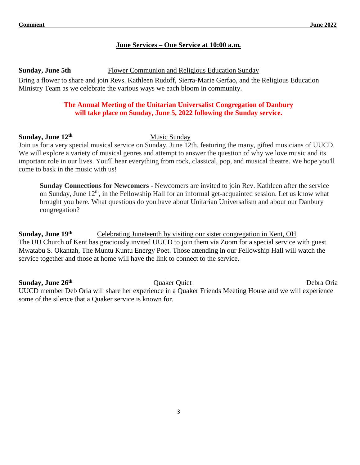#### **June Services – One Service at 10:00 a.m.**

#### **Sunday, June 5th** Flower Communion and Religious Education Sunday

Bring a flower to share and join Revs. Kathleen Rudoff, Sierra-Marie Gerfao, and the Religious Education Ministry Team as we celebrate the various ways we each bloom in community.

#### **The Annual Meeting of the Unitarian Universalist Congregation of Danbury will take place on Sunday, June 5, 2022 following the Sunday service.**

#### **Sunday, June 12th** Music Sunday

Join us for a very special musical service on Sunday, June 12th, featuring the many, gifted musicians of UUCD. We will explore a variety of musical genres and attempt to answer the question of why we love music and its important role in our lives. You'll hear everything from rock, classical, pop, and musical theatre. We hope you'll come to bask in the music with us!

**Sunday Connections for Newcomers** - Newcomers are invited to join Rev. Kathleen after the service on Sunday, June 12<sup>th</sup>, in the Fellowship Hall for an informal get-acquainted session. Let us know what brought you here. What questions do you have about Unitarian Universalism and about our Danbury congregation?

**Sunday, June 19<sup>th</sup>** Celebrating Juneteenth by visiting our sister congregation in Kent, OH The UU Church of Kent has graciously invited UUCD to join them via Zoom for a special service with guest Mwatabu S. Okantah, The Muntu Kuntu Energy Poet. Those attending in our Fellowship Hall will watch the service together and those at home will have the link to connect to the service.

**Sunday, June 26th**

Quaker Quiet Debra Oria

UUCD member Deb Oria will share her experience in a Quaker Friends Meeting House and we will experience some of the silence that a Quaker service is known for.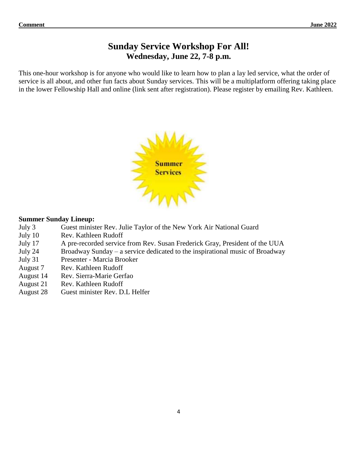# **Sunday Service Workshop For All! Wednesday, June 22, 7-8 p.m.**

This one-hour workshop is for anyone who would like to learn how to plan a lay led service, what the order of service is all about, and other fun facts about Sunday services. This will be a multiplatform offering taking place in the lower Fellowship Hall and online (link sent after registration). Please register by emailing Rev. Kathleen.



#### **Summer Sunday Lineup:**

- July 3 Guest minister Rev. Julie Taylor of the New York Air National Guard
- July 10 Rev. Kathleen Rudoff
- July 17 A pre-recorded service from Rev. Susan Frederick Gray, President of the UUA
- July 24 Broadway Sunday a service dedicated to the inspirational music of Broadway
- July 31 Presenter Marcia Brooker
- August 7 Rev. Kathleen Rudoff
- August 14 Rev. Sierra-Marie Gerfao
- August 21 Rev. Kathleen Rudoff
- August 28 Guest minister Rev. D.L Helfer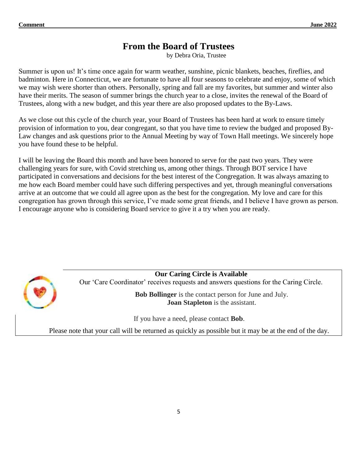# **From the Board of Trustees**

by Debra Oria, Trustee

Summer is upon us! It's time once again for warm weather, sunshine, picnic blankets, beaches, fireflies, and badminton. Here in Connecticut, we are fortunate to have all four seasons to celebrate and enjoy, some of which we may wish were shorter than others. Personally, spring and fall are my favorites, but summer and winter also have their merits. The season of summer brings the church year to a close, invites the renewal of the Board of Trustees, along with a new budget, and this year there are also proposed updates to the By-Laws.

As we close out this cycle of the church year, your Board of Trustees has been hard at work to ensure timely provision of information to you, dear congregant, so that you have time to review the budged and proposed By-Law changes and ask questions prior to the Annual Meeting by way of Town Hall meetings. We sincerely hope you have found these to be helpful.

I will be leaving the Board this month and have been honored to serve for the past two years. They were challenging years for sure, with Covid stretching us, among other things. Through BOT service I have participated in conversations and decisions for the best interest of the Congregation. It was always amazing to me how each Board member could have such differing perspectives and yet, through meaningful conversations arrive at an outcome that we could all agree upon as the best for the congregation. My love and care for this congregation has grown through this service, I've made some great friends, and I believe I have grown as person. I encourage anyone who is considering Board service to give it a try when you are ready.



**Our Caring Circle is Available**

Our 'Care Coordinator' receives requests and answers questions for the Caring Circle.

**Bob Bollinger** is the contact person for June and July. **Joan Stapleton** is the assistant.

If you have a need, please contact **Bob**.

Please note that your call will be returned as quickly as possible but it may be at the end of the day.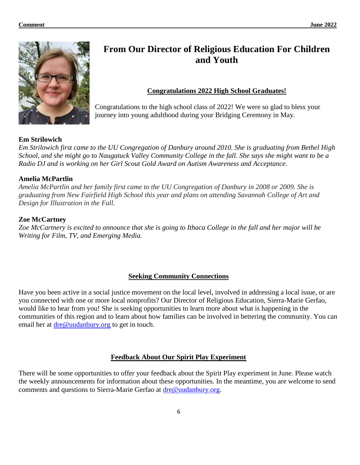

# **From Our Director of Religious Education For Children and Youth**

## **Congratulations 2022 High School Graduates!**

Congratulations to the high school class of 2022! We were so glad to bless your journey into young adulthood during your Bridging Ceremony in May.

#### **Em Strilowich**

*Em Strilowich first came to the UU Congregation of Danbury around 2010. She is graduating from Bethel High School, and she might go to Naugatuck Valley Community College in the fall. She says she might want to be a Radio DJ and is working on her Girl Scout Gold Award on Autism Awareness and Acceptance.* 

#### **Amelia McPartlin**

*Amelia McPartlin and her family first came to the UU Congregation of Danbury in 2008 or 2009. She is graduating from New Fairfield High School this year and plans on attending Savannah College of Art and Design for Illustration in the Fall.*

#### **Zoe McCartney**

*Zoe McCartnery is excited to announce that she is going to Ithaca College in the fall and her major will be Writing for Film, TV, and Emerging Media.*

#### **Seeking Community Connections**

Have you been active in a social justice movement on the local level, involved in addressing a local issue, or are you connected with one or more local nonprofits? Our Director of Religious Education, Sierra-Marie Gerfao, would like to hear from you! She is seeking opportunities to learn more about what is happening in the communities of this region and to learn about how families can be involved in bettering the community. You can email her at [dre@uudanbury.org](mailto:dre@uudanbury.org) to get in touch.

#### **Feedback About Our Spirit Play Experiment**

There will be some opportunities to offer your feedback about the Spirit Play experiment in June. Please watch the weekly announcements for information about these opportunities. In the meantime, you are welcome to send comments and questions to Sierra-Marie Gerfao at [dre@uudanbury.org.](mailto:dre@uudanbury.org)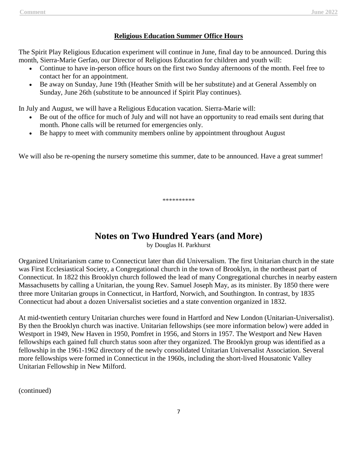## **Religious Education Summer Office Hours**

The Spirit Play Religious Education experiment will continue in June, final day to be announced. During this month, Sierra-Marie Gerfao, our Director of Religious Education for children and youth will:

- Continue to have in-person office hours on the first two Sunday afternoons of the month. Feel free to contact her for an appointment.
- Be away on Sunday, June 19th (Heather Smith will be her substitute) and at General Assembly on Sunday, June 26th (substitute to be announced if Spirit Play continues).

In July and August, we will have a Religious Education vacation. Sierra-Marie will:

- Be out of the office for much of July and will not have an opportunity to read emails sent during that month. Phone calls will be returned for emergencies only.
- Be happy to meet with community members online by appointment throughout August

We will also be re-opening the nursery sometime this summer, date to be announced. Have a great summer!

\*\*\*\*\*\*\*\*\*\*

# **Notes on Two Hundred Years (and More)**

by Douglas H. Parkhurst

Organized Unitarianism came to Connecticut later than did Universalism. The first Unitarian church in the state was First Ecclesiastical Society, a Congregational church in the town of Brooklyn, in the northeast part of Connecticut. In 1822 this Brooklyn church followed the lead of many Congregational churches in nearby eastern Massachusetts by calling a Unitarian, the young Rev. Samuel Joseph May, as its minister. By 1850 there were three more Unitarian groups in Connecticut, in Hartford, Norwich, and Southington. In contrast, by 1835 Connecticut had about a dozen Universalist societies and a state convention organized in 1832.

At mid-twentieth century Unitarian churches were found in Hartford and New London (Unitarian-Universalist). By then the Brooklyn church was inactive. Unitarian fellowships (see more information below) were added in Westport in 1949, New Haven in 1950, Pomfret in 1956, and Storrs in 1957. The Westport and New Haven fellowships each gained full church status soon after they organized. The Brooklyn group was identified as a fellowship in the 1961-1962 directory of the newly consolidated Unitarian Universalist Association. Several more fellowships were formed in Connecticut in the 1960s, including the short-lived Housatonic Valley Unitarian Fellowship in New Milford.

(continued)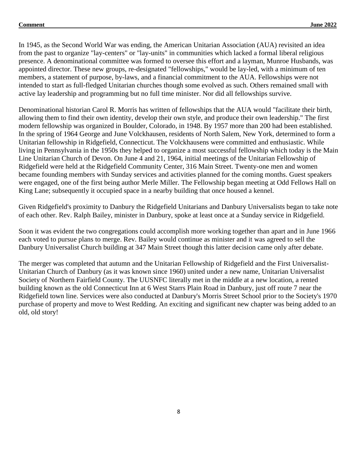In 1945, as the Second World War was ending, the American Unitarian Association (AUA) revisited an idea from the past to organize "lay-centers" or "lay-units" in communities which lacked a formal liberal religious presence. A denominational committee was formed to oversee this effort and a layman, Munroe Husbands, was appointed director. These new groups, re-designated "fellowships," would be lay-led, with a minimum of ten members, a statement of purpose, by-laws, and a financial commitment to the AUA. Fellowships were not intended to start as full-fledged Unitarian churches though some evolved as such. Others remained small with active lay leadership and programming but no full time minister. Nor did all fellowships survive.

Denominational historian Carol R. Morris has written of fellowships that the AUA would "facilitate their birth, allowing them to find their own identity, develop their own style, and produce their own leadership." The first modern fellowship was organized in Boulder, Colorado, in 1948. By 1957 more than 200 had been established. In the spring of 1964 George and June Volckhausen, residents of North Salem, New York, determined to form a Unitarian fellowship in Ridgefield, Connecticut. The Volckhausens were committed and enthusiastic. While living in Pennsylvania in the 1950s they helped to organize a most successful fellowship which today is the Main Line Unitarian Church of Devon. On June 4 and 21, 1964, initial meetings of the Unitarian Fellowship of Ridgefield were held at the Ridgefield Community Center, 316 Main Street. Twenty-one men and women became founding members with Sunday services and activities planned for the coming months. Guest speakers were engaged, one of the first being author Merle Miller. The Fellowship began meeting at Odd Fellows Hall on King Lane; subsequently it occupied space in a nearby building that once housed a kennel.

Given Ridgefield's proximity to Danbury the Ridgefield Unitarians and Danbury Universalists began to take note of each other. Rev. Ralph Bailey, minister in Danbury, spoke at least once at a Sunday service in Ridgefield.

Soon it was evident the two congregations could accomplish more working together than apart and in June 1966 each voted to pursue plans to merge. Rev. Bailey would continue as minister and it was agreed to sell the Danbury Universalist Church building at 347 Main Street though this latter decision came only after debate.

The merger was completed that autumn and the Unitarian Fellowship of Ridgefield and the First Universalist-Unitarian Church of Danbury (as it was known since 1960) united under a new name, Unitarian Universalist Society of Northern Fairfield County. The UUSNFC literally met in the middle at a new location, a rented building known as the old Connecticut Inn at 6 West Starrs Plain Road in Danbury, just off route 7 near the Ridgefield town line. Services were also conducted at Danbury's Morris Street School prior to the Society's 1970 purchase of property and move to West Redding. An exciting and significant new chapter was being added to an old, old story!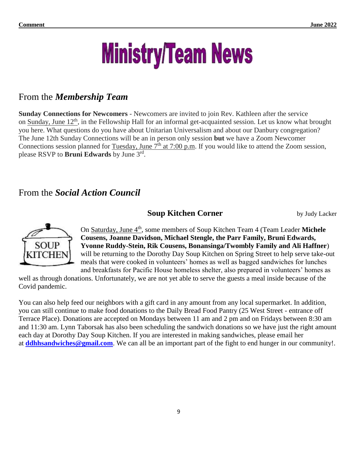# **Ministry/Team News**

# From the *Membership Team*

**Sunday Connections for Newcomers** - Newcomers are invited to join Rev. Kathleen after the service on Sunday, June 12<sup>th</sup>, in the Fellowship Hall for an informal get-acquainted session. Let us know what brought you here. What questions do you have about Unitarian Universalism and about our Danbury congregation? The June 12th Sunday Connections will be an in person only session **but** we have a Zoom Newcomer Connections session planned for Tuesday, June  $7<sup>th</sup>$  at 7:00 p.m. If you would like to attend the Zoom session, please RSVP to **Bruni Edwards** by June 3rd .

# From the *Social Action Council*

## **Soup Kitchen Corner** by Judy Lacker



On Saturday, June 4<sup>th</sup>, some members of Soup Kitchen Team 4 (Team Leader Michele **Cousens, Joanne Davidson, Michael Stengle, the Parr Family, Bruni Edwards, Yvonne Ruddy-Stein, Rik Cousens, Bonansinga/Twombly Family and Ali Haffner**) will be returning to the Dorothy Day Soup Kitchen on Spring Street to help serve take-out meals that were cooked in volunteers' homes as well as bagged sandwiches for lunches and breakfasts for Pacific House homeless shelter, also prepared in volunteers' homes as

well as through donations. Unfortunately, we are not yet able to serve the guests a meal inside because of the Covid pandemic.

You can also help feed our neighbors with a gift card in any amount from any local supermarket. In addition, you can still continue to make food donations to the Daily Bread Food Pantry (25 West Street - entrance off Terrace Place). Donations are accepted on Mondays between 11 am and 2 pm and on Fridays between 8:30 am and 11:30 am. Lynn Taborsak has also been scheduling the sandwich donations so we have just the right amount each day at Dorothy Day Soup Kitchen. If you are interested in making sandwiches, please email her at **[ddhhsandwiches@gmail.com](mailto:ddhhsandwiches@gmail.com)**. We can all be an important part of the fight to end hunger in our community!.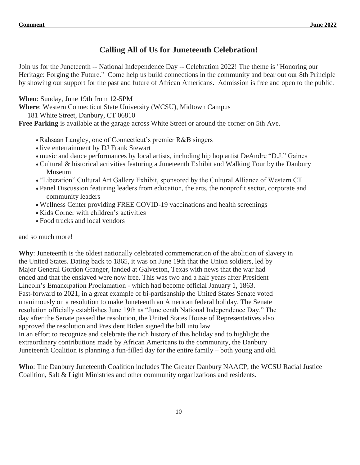## **Calling All of Us for Juneteenth Celebration!**

Join us for the Juneteenth -- National Independence Day -- Celebration 2022! The theme is "Honoring our Heritage: Forging the Future." Come help us build connections in the community and bear out our 8th Principle by showing our support for the past and future of African Americans. Admission is free and open to the public.

**When**: Sunday, June 19th from 12-5PM

**Where**: Western Connecticut State University (WCSU), Midtown Campus

181 White Street, Danbury, CT 06810

**Free Parking** is available at the garage across White Street or around the corner on 5th Ave.

- Rahsaan Langley, one of Connecticut's premier R&B singers
- live entertainment by DJ Frank Stewart
- music and dance performances by local artists, including hip hop artist DeAndre "D.J." Gaines
- Cultural & historical activities featuring a Juneteenth Exhibit and Walking Tour by the Danbury Museum
- "Liberation" Cultural Art Gallery Exhibit, sponsored by the Cultural Alliance of Western CT
- Panel Discussion featuring leaders from education, the arts, the nonprofit sector, corporate and community leaders
- Wellness Center providing FREE COVID-19 vaccinations and health screenings
- Kids Corner with children's activities
- Food trucks and local vendors

#### and so much more!

**Why**: Juneteenth is the oldest nationally celebrated commemoration of the abolition of slavery in the United States. Dating back to 1865, it was on June 19th that the Union soldiers, led by Major General Gordon Granger, landed at Galveston, Texas with news that the war had ended and that the enslaved were now free. This was two and a half years after President Lincoln's Emancipation Proclamation - which had become official January 1, 1863. Fast-forward to 2021, in a great example of bi-partisanship the United States Senate voted unanimously on a resolution to make Juneteenth an American federal holiday. The Senate resolution officially establishes June 19th as "Juneteenth National Independence Day." The day after the Senate passed the resolution, the United States House of Representatives also approved the resolution and President Biden signed the bill into law. In an effort to recognize and celebrate the rich history of this holiday and to highlight the extraordinary contributions made by African Americans to the community, the Danbury Juneteenth Coalition is planning a fun-filled day for the entire family – both young and old.

**Who**: The Danbury Juneteenth Coalition includes The Greater Danbury NAACP, the WCSU Racial Justice Coalition, Salt & Light Ministries and other community organizations and residents.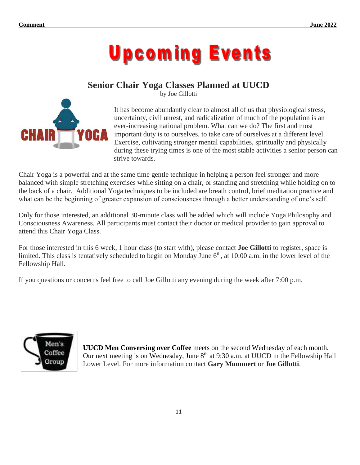

# **Senior Chair Yoga Classes Planned at UUCD**





It has become abundantly clear to almost all of us that physiological stress, uncertainty, civil unrest, and radicalization of much of the population is an ever-increasing national problem. What can we do? The first and most important duty is to ourselves, to take care of ourselves at a different level. Exercise, cultivating stronger mental capabilities, spiritually and physically during these trying times is one of the most stable activities a senior person can strive towards.

Chair Yoga is a powerful and at the same time gentle technique in helping a person feel stronger and more balanced with simple stretching exercises while sitting on a chair, or standing and stretching while holding on to the back of a chair. Additional Yoga techniques to be included are breath control, brief meditation practice and what can be the beginning of greater expansion of consciousness through a better understanding of one's self.

Only for those interested, an additional 30-minute class will be added which will include Yoga Philosophy and Consciousness Awareness. All participants must contact their doctor or medical provider to gain approval to attend this Chair Yoga Class.

For those interested in this 6 week, 1 hour class (to start with), please contact **Joe Gillotti** to register, space is limited. This class is tentatively scheduled to begin on Monday June  $6<sup>th</sup>$ , at 10:00 a.m. in the lower level of the Fellowship Hall.

If you questions or concerns feel free to call Joe Gillotti any evening during the week after 7:00 p.m.



**UUCD Men Conversing over Coffee** meets on the second Wednesday of each month. Our next meeting is on Wednesday, June  $8<sup>th</sup>$  at 9:30 a.m. at UUCD in the Fellowship Hall Lower Level. For more information contact **Gary Mummert** or **Joe Gillotti**.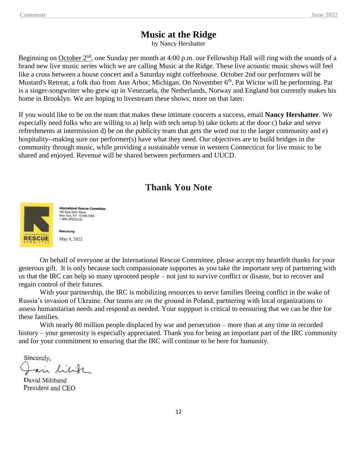## **Music at the Ridge**

by Nancy Hershatter

Beginning on October 2<sup>nd</sup>, one Sunday per month at 4:00 p.m. our Fellowship Hall will ring with the sounds of a brand new live music series which we are calling Music at the Ridge. These live acoustic music shows will feel like a cross between a house concert and a Saturday night coffeehouse. October 2nd our performers will be Mustard's Retreat, a folk duo from Ann Arbor, Michigan. On November 6<sup>th</sup>, Pat Wictor will be performing. Pat is a singer-songwriter who grew up in Venezuela, the Netherlands, Norway and England but currently makes his home in Brooklyn. We are hoping to livestream these shows; more on that later.

If you would like to be on the team that makes these intimate concerts a success, email **Nancy Hershatter**. We especially need folks who are willing to a) help with tech setup b) take tickets at the door c) bake and serve refreshments at intermission d) be on the publicity team that gets the word out to the larger community and e) hospitality--making sure our performer(s) have what they need. Our objectives are to build bridges in the community through music, while providing a sustainable venue in western Connecticut for live music to be shared and enjoyed. Revenue will be shared between performers and UUCD.

## **Thank You Note**



onal Rescue Committee International Heacue Cor<br>122 East 42nd Street<br>New York, NY 10168-1289 -855-9RESCUE

May 9, 2022

On behalf of everyone at the International Rescue Committee, please accept my heartfelt thanks for your generous gift. It is only because such compassionate supportes as you take the important srep of partnering with us that the IRC can help so many uprooted people – not just to survive conflict or disaste, but to recover and regain control of their futures.

With your partnership, the IRC is mobilizing resources to serve families fleeing conflict in the wake of Russia's invasion of Ukraine. Our teams are on the ground in Poland, partnering with local organizations to assess humanitarian needs and respond as needed. Your suppport is critical to eensuring that we can be thre for these families.

With nearly 80 million people displaced by war and persecution – more than at any time in recorded history – your generosity is especially appreciated. Thank you for being an important part of the IRC community and for your commitment to ensuring that the IRC will continue to be here for humanity.

Sincerely,

David Miliband President and CEO